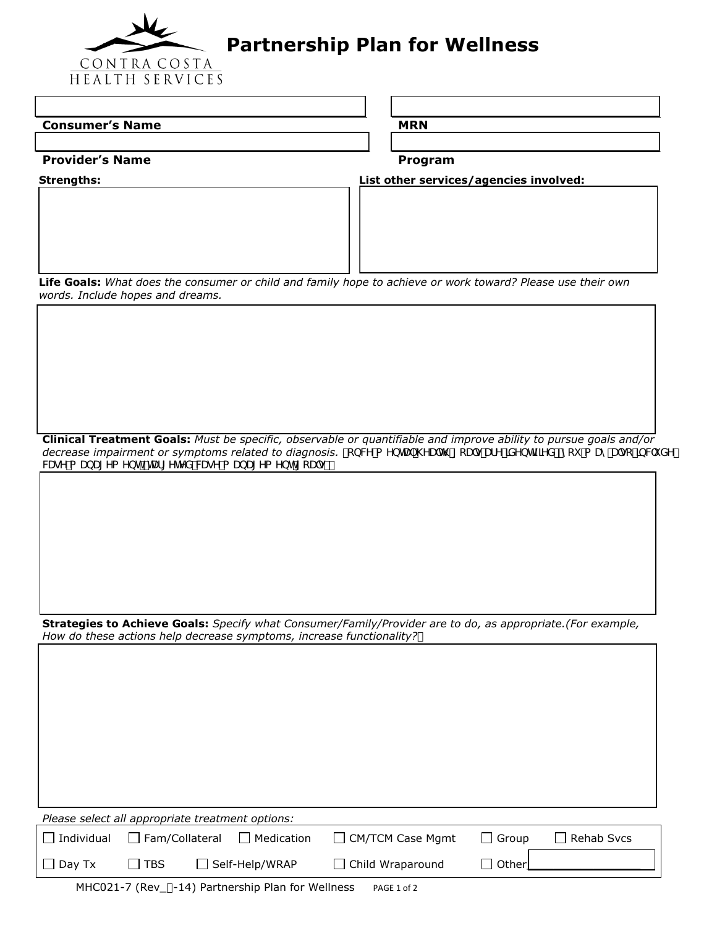

## **Partnership Plan for Wellness**

| <b>Consumer's Name</b> | <b>MRN</b> |
|------------------------|------------|
|------------------------|------------|

**Provider's Name Program**

**Strengths: List other services/agencies involved:**

**Life Goals:** *What does the consumer or child and family hope to achieve or work toward? Please use their own words. Include hopes and dreams.*

**Clinical Treatment Goals:** *Must be specific, observable or quantifiable and improve ability to pursue goals and/or*  decrease impairment or symptoms related to diagnosis. *ftbW a YbHJ* \YU'h\ [cU'g'UfY']XYbh]ZJYXž'nci 'a UmU'gc']bW XY' WgY a UbU[Ya Ybhž HJf[YhYX WgY a UbU[Ya Ybh [cU'gŁ"

**Strategies to Achieve Goals:** *Specify what Consumer/Family/Provider are to do, as appropriate.(For example, How do these actions help decrease symptoms, increase functionality?* 

|                   | Please select all appropriate treatment options: |  |                       |                         |              |                   |  |  |
|-------------------|--------------------------------------------------|--|-----------------------|-------------------------|--------------|-------------------|--|--|
| $\Box$ Individual | $\Box$ Fam/Collateral                            |  | $\Box$ Medication     | $\Box$ CM/TCM Case Mgmt | l I Group    | $\Box$ Rehab Svcs |  |  |
| $\Box$ Day Tx     | ⊥ I TBS                                          |  | $\Box$ Self-Help/WRAP | $\Box$ Child Wraparound | $\Box$ Other |                   |  |  |

MHC021-7 (Rev\_'-14) Partnership Plan for Wellness PAGE 1 of 2